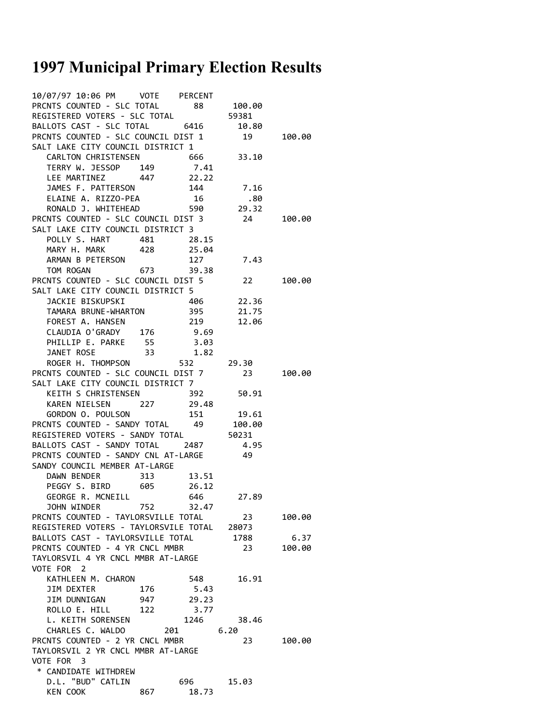## **1997 Municipal Primary Election Results**

| 10/07/97 10:06 PM    VOTE    PERCENT                                                                                                                                    |     |                   |       |        |  |  |
|-------------------------------------------------------------------------------------------------------------------------------------------------------------------------|-----|-------------------|-------|--------|--|--|
| PRONTS COUNTED - SLC TOTAL 88 100.00<br>REGISTERED VOTERS - SLC TOTAL 59381<br>BALLOTS CAST - SLC TOTAL 6416 10.80                                                      |     |                   |       |        |  |  |
|                                                                                                                                                                         |     |                   |       |        |  |  |
|                                                                                                                                                                         |     |                   |       |        |  |  |
| PRCNTS COUNTED - SLC COUNCIL DIST 1 19 100.00                                                                                                                           |     |                   |       |        |  |  |
| SALT LAKE CITY COUNCIL DISTRICT 1                                                                                                                                       |     |                   |       |        |  |  |
|                                                                                                                                                                         |     |                   |       |        |  |  |
|                                                                                                                                                                         |     |                   |       |        |  |  |
|                                                                                                                                                                         |     |                   |       |        |  |  |
|                                                                                                                                                                         |     |                   |       |        |  |  |
| CARLTON CHRISTENSEN<br>TERRY W. JESSOP 149 7.41<br>LEE MARTINEZ 447 22.22<br>JAMES F. PATTERSON 144 7.16<br>ELAINE A. RIZZO-PEA 16 .80<br>RONALD J. WHITEHEAD 590 29.32 |     |                   |       |        |  |  |
| PRCNTS COUNTED - SLC COUNCIL DIST 3 24 100.00                                                                                                                           |     |                   |       |        |  |  |
| SALT LAKE CITY COUNCIL DISTRICT 3                                                                                                                                       |     |                   |       |        |  |  |
| POLLY S. HART 481 28.15                                                                                                                                                 |     |                   |       |        |  |  |
| MARY H. MARK 428 25.04                                                                                                                                                  |     |                   |       |        |  |  |
| ARMAN B PETERSON 127<br>TOM ROGAN 673 39.38                                                                                                                             |     |                   | 7.43  |        |  |  |
|                                                                                                                                                                         |     |                   |       |        |  |  |
| PRCNTS COUNTED - SLC COUNCIL DIST 5 22 100.00                                                                                                                           |     |                   |       |        |  |  |
| SALT LAKE CITY COUNCIL DISTRICT 5<br>JACKIE BISKUPSKI 406 22.36                                                                                                         |     |                   |       |        |  |  |
| TAMARA BRUNE-WHARTON 395 21.75                                                                                                                                          |     |                   |       |        |  |  |
| FOREST A. HANSEN                                                                                                                                                        |     |                   |       |        |  |  |
| FOREST A. HANSEN<br>CLAUDIA O'GRADY 176 9.69<br>PHILLIP E. PARKE 55 3.03<br>JANET ROSE 33 1.82<br>ROGER H. THOMPSON 532 29.30                                           |     |                   |       |        |  |  |
|                                                                                                                                                                         |     |                   |       |        |  |  |
|                                                                                                                                                                         |     |                   |       |        |  |  |
|                                                                                                                                                                         |     |                   |       |        |  |  |
| PRCNTS COUNTED - SLC COUNCIL DIST 7 23 100.00                                                                                                                           |     |                   |       |        |  |  |
| SALT LAKE CITY COUNCIL DISTRICT 7                                                                                                                                       |     |                   |       |        |  |  |
| KEITH S CHRISTENSEN 392 50.91                                                                                                                                           |     |                   |       |        |  |  |
| KAREN NIELSEN 227 29.48                                                                                                                                                 |     |                   |       |        |  |  |
| GORDON 0. POULSON 151 19.61<br>PRCNTS COUNTED - SANDY TOTAL 49 100.00<br>REGISTERED VOTERS - SANDY TOTAL 50231<br>BALLOTS CAST - SANDY TOTAL 2487 4.95                  |     |                   |       |        |  |  |
|                                                                                                                                                                         |     |                   |       |        |  |  |
|                                                                                                                                                                         |     |                   |       |        |  |  |
| PRCNTS COUNTED - SANDY CNL AT-LARGE 49                                                                                                                                  |     |                   |       |        |  |  |
| SANDY COUNCIL MEMBER AT-LARGE                                                                                                                                           |     |                   |       |        |  |  |
| DAWN BENDER 313 13.51                                                                                                                                                   |     |                   |       |        |  |  |
| PEGGY S. BIRD 605 26.12                                                                                                                                                 |     |                   |       |        |  |  |
| GEORGE R. MCNEILL                                                                                                                                                       |     | 646               | 27.89 |        |  |  |
| JOHN WINDER                                                                                                                                                             | 752 | 32.47             |       |        |  |  |
| PRCNTS COUNTED - TAYLORSVILLE TOTAL<br>23<br>100.00                                                                                                                     |     |                   |       |        |  |  |
| REGISTERED VOTERS - TAYLORSVILE TOTAL 28073                                                                                                                             |     |                   |       |        |  |  |
| BALLOTS CAST - TAYLORSVILLE TOTAL                                                                                                                                       |     |                   | 1788  | 6.37   |  |  |
| PRCNTS COUNTED - 4 YR CNCL MMBR<br>TAYLORSVIL 4 YR CNCL MMBR AT-LARGE                                                                                                   |     |                   | 23    | 100.00 |  |  |
| VOTE FOR 2                                                                                                                                                              |     |                   |       |        |  |  |
| KATHLEEN M. CHARON                                                                                                                                                      |     | 548               | 16.91 |        |  |  |
| <b>JIM DEXTER</b>                                                                                                                                                       | 176 | 5.43              |       |        |  |  |
| JIM DUNNIGAN                                                                                                                                                            | 947 | 29.23             |       |        |  |  |
| ROLLO E. HILL 122                                                                                                                                                       |     | 3.77              |       |        |  |  |
| L. KEITH SORENSEN                                                                                                                                                       |     | 1246              | 38.46 |        |  |  |
| CHARLES C. WALDO 201                                                                                                                                                    |     |                   | 6.20  |        |  |  |
| PRCNTS COUNTED - 2 YR CNCL MMBR                                                                                                                                         | 23  | 100.00            |       |        |  |  |
| TAYLORSVIL 2 YR CNCL MMBR AT-LARGE                                                                                                                                      |     |                   |       |        |  |  |
| VOTE FOR 3                                                                                                                                                              |     |                   |       |        |  |  |
| * CANDIDATE WITHDREW                                                                                                                                                    |     |                   |       |        |  |  |
| D.L. "BUD" CATLIN<br>KEN COOK                                                                                                                                           | 867 | 696 — 10<br>18.73 | 15.03 |        |  |  |
|                                                                                                                                                                         |     |                   |       |        |  |  |